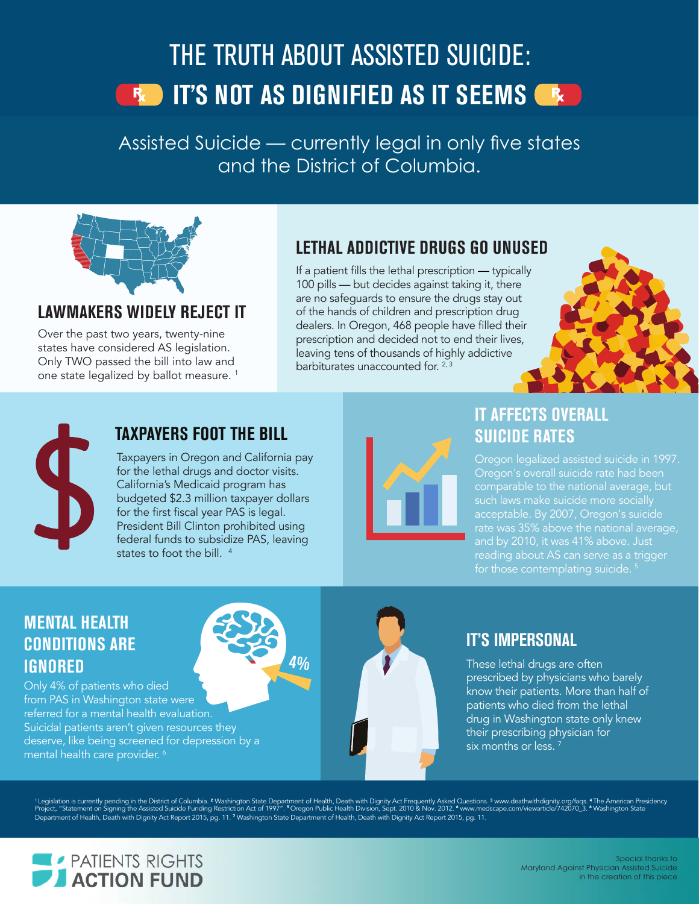# THE TRUTH ABOUT ASSISTED SUICIDE: **IF AND IT'S NOT AS DIGNIFIED AS IT SEEMS ARE**

Assisted Suicide — currently legal in only six states and possibly pending Assisted Suicide — currently legal in only five states ill patients to choose when and the District of Columbia. The effects of  $\mathsf{C}$ patients and families aren't compassionate or dignified at all.



#### **LAWMAKERS WIDELY REJECT IT**

Over the past two years, twenty-nine states have considered AS legislation. Only TWO passed the bill into law and one state legalized by ballot measure.<sup>1</sup>

#### **LETHAL ADDICTIVE DRUGS GO UNUSED**

If a patient fills the lethal prescription — typically 100 pills — but decides against taking it, there are no safeguards to ensure the drugs stay out of the hands of children and prescription drug dealers. In Oregon, 468 people have filled their prescription and decided not to end their lives, leaving tens of thousands of highly addictive barbiturates unaccounted for.  $2,3$ 





#### **TAXPAYERS FOOT THE BILL**

Taxpayers in Oregon and California pay for the lethal drugs and doctor visits. California's Medicaid program has budgeted \$2.3 million taxpayer dollars for the first fiscal year PAS is legal. President Bill Clinton prohibited using federal funds to subsidize PAS, leaving states to foot the bill.<sup>4</sup>



#### **IT AFFECTS OVERALL SUICIDE RATES**

Oregon legalized assisted suicide in 1997. Oregon's overall suicide rate had been comparable to the national average, but acceptable. By 2007, Oregon's suicide rate was 35% above the national average, and by 2010, it was 41% above. Just reading about AS can serve as a trigger for those contemplating suicide.<sup>5</sup>

#### **MENTAL HEALTH CONDITIONS ARE IGNORED**

Only 4% of patients who died from PAS in Washington state were referred for a mental health evaluation. Suicidal patients aren't given resources they deserve, like being screened for depression by a mental health care provider. 6



#### **IT'S IMPERSONAL**

These lethal drugs are often prescribed by physicians who barely know their patients. More than half of patients who died from the lethal drug in Washington state only knew their prescribing physician for six months or less.

'Legislation is currently pending in the District of Columbia. <sup>2</sup> Washington State Department of Health, Death with Dignity Act Frequently Asked Questions. <sup>3</sup> www.deathwithdignity.org/faqs. <sup>4</sup>The American Presidency<br>Pr Department of Health, Death with Dignity Act Report 2015, pg. 11. 7 Washington State Department of Health, Death with Dignity Act Report 2015, pg. 11.

**4%**